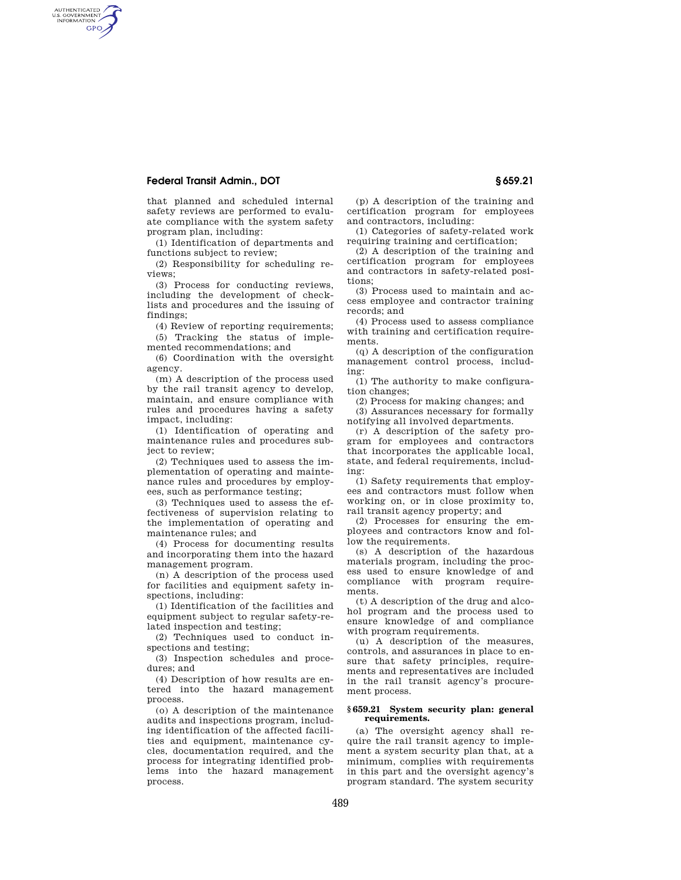# **Federal Transit Admin., DOT § 659.21**

AUTHENTICATED<br>U.S. GOVERNMENT<br>INFORMATION GPO

> that planned and scheduled internal safety reviews are performed to evaluate compliance with the system safety program plan, including:

> (1) Identification of departments and functions subject to review;

> (2) Responsibility for scheduling reviews;

(3) Process for conducting reviews, including the development of checklists and procedures and the issuing of findings;

(4) Review of reporting requirements; (5) Tracking the status of imple-

mented recommendations; and

(6) Coordination with the oversight agency.

(m) A description of the process used by the rail transit agency to develop, maintain, and ensure compliance with rules and procedures having a safety impact, including:

(1) Identification of operating and maintenance rules and procedures subject to review;

(2) Techniques used to assess the implementation of operating and maintenance rules and procedures by employees, such as performance testing;

(3) Techniques used to assess the effectiveness of supervision relating to the implementation of operating and maintenance rules; and

(4) Process for documenting results and incorporating them into the hazard management program.

(n) A description of the process used for facilities and equipment safety inspections, including:

(1) Identification of the facilities and equipment subject to regular safety-related inspection and testing;

(2) Techniques used to conduct inspections and testing;

(3) Inspection schedules and procedures; and

(4) Description of how results are entered into the hazard management process.

(o) A description of the maintenance audits and inspections program, including identification of the affected facilities and equipment, maintenance cycles, documentation required, and the process for integrating identified problems into the hazard management process.

(p) A description of the training and certification program for employees and contractors, including:

(1) Categories of safety-related work requiring training and certification;

(2) A description of the training and certification program for employees and contractors in safety-related positions;

(3) Process used to maintain and access employee and contractor training records; and

(4) Process used to assess compliance with training and certification requirements.

(q) A description of the configuration management control process, including:

(1) The authority to make configuration changes;

(2) Process for making changes; and

(3) Assurances necessary for formally notifying all involved departments.

(r) A description of the safety program for employees and contractors that incorporates the applicable local, state, and federal requirements, including:

(1) Safety requirements that employees and contractors must follow when working on, or in close proximity to, rail transit agency property; and

(2) Processes for ensuring the employees and contractors know and follow the requirements.

(s) A description of the hazardous materials program, including the process used to ensure knowledge of and compliance with program requirements.

(t) A description of the drug and alcohol program and the process used to ensure knowledge of and compliance with program requirements.

(u) A description of the measures, controls, and assurances in place to ensure that safety principles, requirements and representatives are included in the rail transit agency's procurement process.

### **§ 659.21 System security plan: general requirements.**

(a) The oversight agency shall require the rail transit agency to implement a system security plan that, at a minimum, complies with requirements in this part and the oversight agency's program standard. The system security